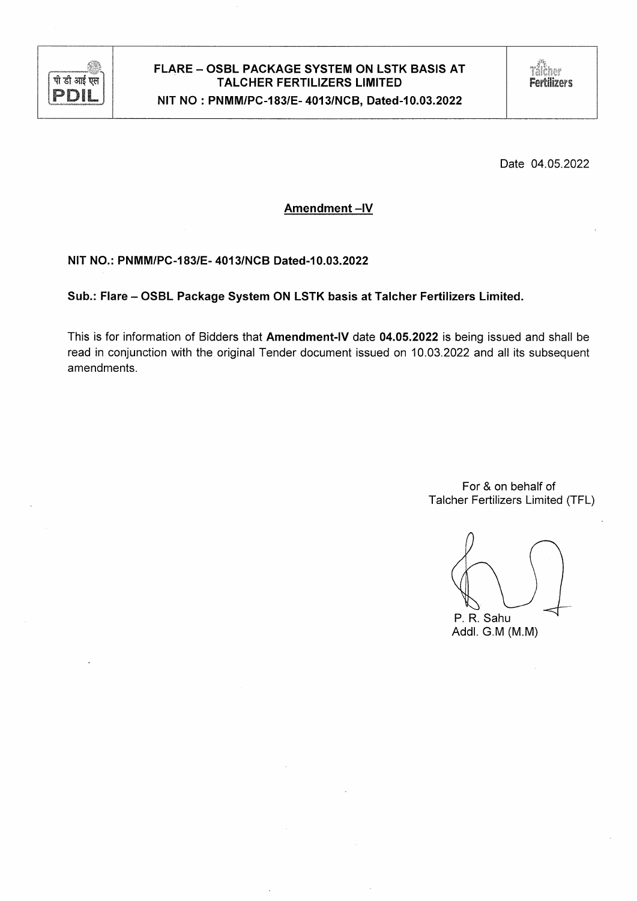

# FLARE - OSBL PACKAGE SYSTEM ON LSTK BASIS AT **TALCHER FERTILIZERS LIMITED** NIT NO: PNMM/PC-183/E-4013/NCB, Dated-10.03.2022

Date 04.05.2022

Amendment-IV

NIT NO.: PNMM/PC-183/E-4013/NCB Dated-10.03.2022

Sub.: Flare - OSBL Package System ON LSTK basis at Talcher Fertilizers Limited.

This is for information of Bidders that Amendment-IV date 04.05.2022 is being issued and shall be read in conjunction with the original Tender document issued on 10.03.2022 and all its subsequent amendments.

> For & on behalf of Talcher Fertilizers Limited (TFL)

P. R. Sahu

Addl. G.M (M.M)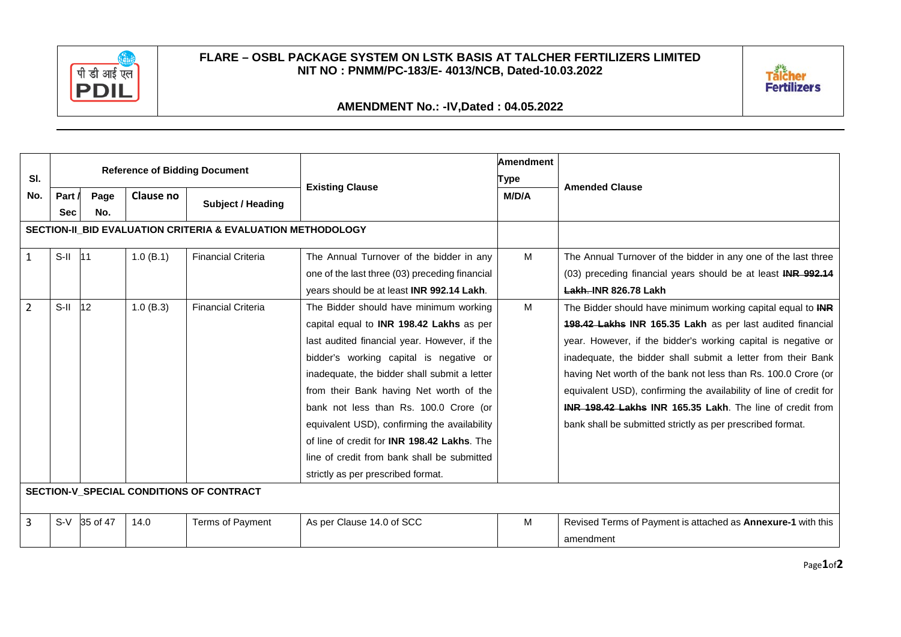

## **FLARE – OSBL PACKAGE SYSTEM ON LSTK BASIS AT TALCHER FERTILIZERS LIMITED NIT NO : PNMM/PC-183/E- 4013/NCB, Dated-10.03.2022**



# **AMENDMENT No.: -IV,Dated : 04.05.2022**

| SI.                                      | <b>Reference of Bidding Document</b>                        |          |           |                           |                                                     | <b>Amendment</b> |                                                                    |
|------------------------------------------|-------------------------------------------------------------|----------|-----------|---------------------------|-----------------------------------------------------|------------------|--------------------------------------------------------------------|
|                                          |                                                             |          |           |                           | <b>Existing Clause</b>                              | Type             | <b>Amended Clause</b>                                              |
| No.                                      | Part /                                                      | Page     | Clause no | Subject / Heading         |                                                     | M/D/A            |                                                                    |
|                                          | <b>Sec</b>                                                  | No.      |           |                           |                                                     |                  |                                                                    |
|                                          | SECTION-II_BID EVALUATION CRITERIA & EVALUATION METHODOLOGY |          |           |                           |                                                     |                  |                                                                    |
| $\mathbf{1}$                             | $S-II$                                                      | 111      | 1.0(B.1)  | <b>Financial Criteria</b> | The Annual Turnover of the bidder in any            | M                | The Annual Turnover of the bidder in any one of the last three     |
|                                          |                                                             |          |           |                           | one of the last three (03) preceding financial      |                  | (03) preceding financial years should be at least INR 992.14       |
|                                          |                                                             |          |           |                           | years should be at least INR 992.14 Lakh.           |                  | <b>Lakh. INR 826.78 Lakh</b>                                       |
| $\overline{2}$                           | $S-H$                                                       | 12       | 1.0(B.3)  | <b>Financial Criteria</b> | The Bidder should have minimum working              | M                | The Bidder should have minimum working capital equal to INR        |
|                                          |                                                             |          |           |                           | capital equal to INR 198.42 Lakhs as per            |                  | 198.42 Lakhs INR 165.35 Lakh as per last audited financial         |
|                                          |                                                             |          |           |                           | last audited financial year. However, if the        |                  | year. However, if the bidder's working capital is negative or      |
|                                          |                                                             |          |           |                           | bidder's working capital is negative or             |                  | inadequate, the bidder shall submit a letter from their Bank       |
|                                          |                                                             |          |           |                           | inadequate, the bidder shall submit a letter        |                  | having Net worth of the bank not less than Rs. 100.0 Crore (or     |
|                                          |                                                             |          |           |                           | from their Bank having Net worth of the             |                  | equivalent USD), confirming the availability of line of credit for |
|                                          |                                                             |          |           |                           | bank not less than Rs. 100.0 Crore (or              |                  | INR 198.42 Lakhs INR 165.35 Lakh. The line of credit from          |
|                                          |                                                             |          |           |                           | equivalent USD), confirming the availability        |                  | bank shall be submitted strictly as per prescribed format.         |
|                                          |                                                             |          |           |                           | of line of credit for <b>INR 198.42 Lakhs</b> . The |                  |                                                                    |
|                                          |                                                             |          |           |                           | line of credit from bank shall be submitted         |                  |                                                                    |
|                                          |                                                             |          |           |                           | strictly as per prescribed format.                  |                  |                                                                    |
| SECTION-V_SPECIAL CONDITIONS OF CONTRACT |                                                             |          |           |                           |                                                     |                  |                                                                    |
| 3                                        | $S-V$                                                       | 35 of 47 | 14.0      | <b>Terms of Payment</b>   | As per Clause 14.0 of SCC                           | M                | Revised Terms of Payment is attached as Annexure-1 with this       |
|                                          |                                                             |          |           |                           |                                                     |                  | amendment                                                          |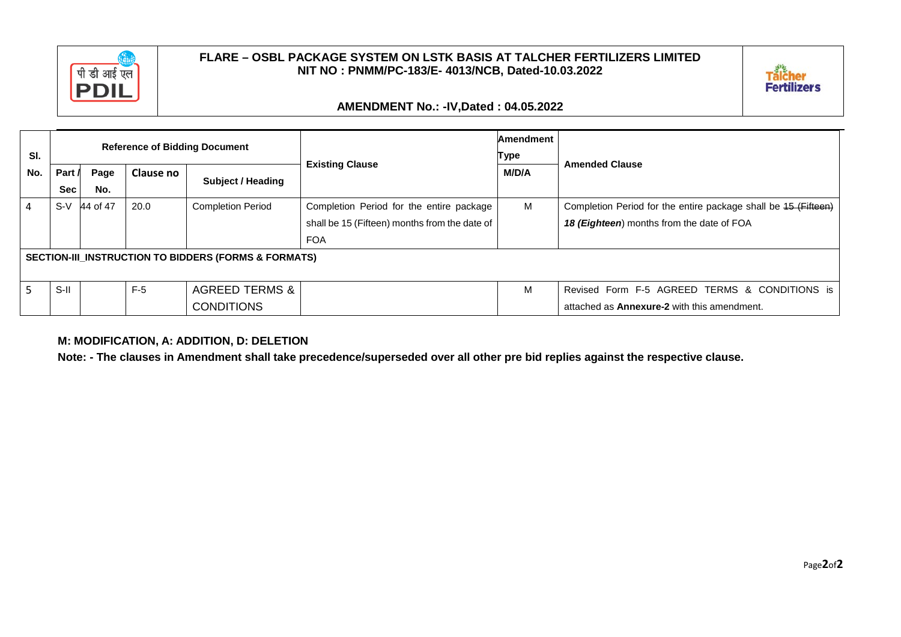

## **FLARE – OSBL PACKAGE SYSTEM ON LSTK BASIS AT TALCHER FERTILIZERS LIMITED NIT NO : PNMM/PC-183/E- 4013/NCB, Dated-10.03.2022**



# **AMENDMENT No.: -IV,Dated : 04.05.2022**

|                                                      |                                      |          |                  |                           | <b>Existing Clause</b>                        | Amendment |                                                                |
|------------------------------------------------------|--------------------------------------|----------|------------------|---------------------------|-----------------------------------------------|-----------|----------------------------------------------------------------|
| SI.                                                  | <b>Reference of Bidding Document</b> |          |                  |                           |                                               | Type      | <b>Amended Clause</b>                                          |
| No.                                                  | Part /                               | Page     | <b>Clause no</b> | Subject / Heading         |                                               | M/D/A     |                                                                |
|                                                      | <b>Sec</b>                           | No.      |                  |                           |                                               |           |                                                                |
|                                                      | $S-V$                                | 44 of 47 | 20.0             | <b>Completion Period</b>  | Completion Period for the entire package      | M         | Completion Period for the entire package shall be 15 (Fifteen) |
|                                                      |                                      |          |                  |                           | shall be 15 (Fifteen) months from the date of |           | 18 (Eighteen) months from the date of FOA                      |
|                                                      |                                      |          |                  |                           | <b>FOA</b>                                    |           |                                                                |
| SECTION-III_INSTRUCTION TO BIDDERS (FORMS & FORMATS) |                                      |          |                  |                           |                                               |           |                                                                |
|                                                      | $S-H$                                |          | $F-5$            | <b>AGREED TERMS &amp;</b> |                                               | M         | Revised Form F-5 AGREED TERMS & CONDITIONS is                  |
|                                                      |                                      |          |                  | <b>CONDITIONS</b>         |                                               |           | attached as <b>Annexure-2</b> with this amendment.             |

### **M: MODIFICATION, A: ADDITION, D: DELETION**

**Note: - The clauses in Amendment shall take precedence/superseded over all other pre bid replies against the respective clause.**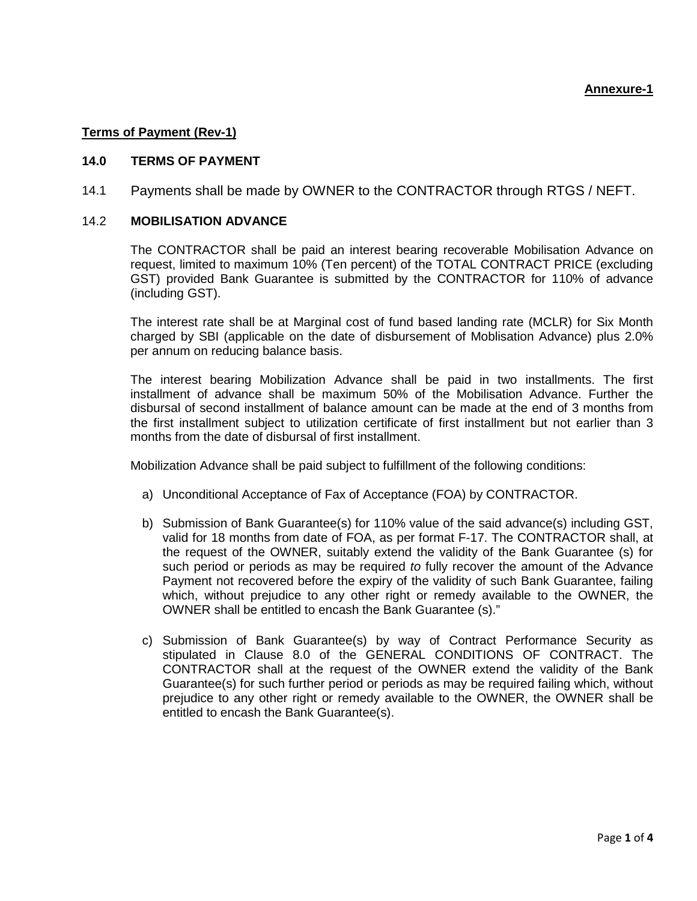## **Terms of Payment (Rev-1)**

#### **14.0 TERMS OF PAYMENT**

14.1 Payments shall be made by OWNER to the CONTRACTOR through RTGS / NEFT.

### 14.2 **MOBILISATION ADVANCE**

The CONTRACTOR shall be paid an interest bearing recoverable Mobilisation Advance on request, limited to maximum 10% (Ten percent) of the TOTAL CONTRACT PRICE (excluding GST) provided Bank Guarantee is submitted by the CONTRACTOR for 110% of advance (including GST).

The interest rate shall be at Marginal cost of fund based landing rate (MCLR) for Six Month charged by SBI (applicable on the date of disbursement of Moblisation Advance) plus 2.0% per annum on reducing balance basis.

The interest bearing Mobilization Advance shall be paid in two installments. The first installment of advance shall be maximum 50% of the Mobilisation Advance. Further the disbursal of second installment of balance amount can be made at the end of 3 months from the first installment subject to utilization certificate of first installment but not earlier than 3 months from the date of disbursal of first installment.

Mobilization Advance shall be paid subject to fulfillment of the following conditions:

- a) Unconditional Acceptance of Fax of Acceptance (FOA) by CONTRACTOR.
- b) Submission of Bank Guarantee(s) for 110% value of the said advance(s) including GST, valid for 18 months from date of FOA, as per format F-17. The CONTRACTOR shall, at the request of the OWNER, suitably extend the validity of the Bank Guarantee (s) for such period or periods as may be required *to* fully recover the amount of the Advance Payment not recovered before the expiry of the validity of such Bank Guarantee, failing which, without prejudice to any other right or remedy available to the OWNER, the OWNER shall be entitled to encash the Bank Guarantee (s)."
- c) Submission of Bank Guarantee(s) by way of Contract Performance Security as stipulated in Clause 8.0 of the GENERAL CONDITIONS OF CONTRACT. The CONTRACTOR shall at the request of the OWNER extend the validity of the Bank Guarantee(s) for such further period or periods as may be required failing which, without prejudice to any other right or remedy available to the OWNER, the OWNER shall be entitled to encash the Bank Guarantee(s).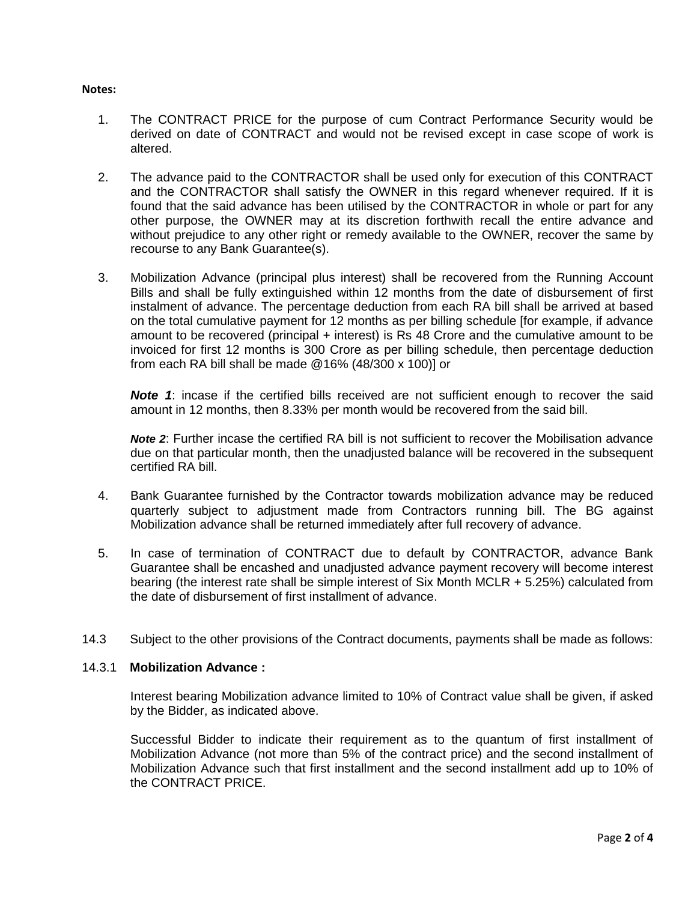#### **Notes:**

- 1. The CONTRACT PRICE for the purpose of cum Contract Performance Security would be derived on date of CONTRACT and would not be revised except in case scope of work is altered.
- 2. The advance paid to the CONTRACTOR shall be used only for execution of this CONTRACT and the CONTRACTOR shall satisfy the OWNER in this regard whenever required. If it is found that the said advance has been utilised by the CONTRACTOR in whole or part for any other purpose, the OWNER may at its discretion forthwith recall the entire advance and without prejudice to any other right or remedy available to the OWNER, recover the same by recourse to any Bank Guarantee(s).
- 3. Mobilization Advance (principal plus interest) shall be recovered from the Running Account Bills and shall be fully extinguished within 12 months from the date of disbursement of first instalment of advance. The percentage deduction from each RA bill shall be arrived at based on the total cumulative payment for 12 months as per billing schedule [for example, if advance amount to be recovered (principal + interest) is Rs 48 Crore and the cumulative amount to be invoiced for first 12 months is 300 Crore as per billing schedule, then percentage deduction from each RA bill shall be made @16% (48/300 x 100)] or

**Note 1:** incase if the certified bills received are not sufficient enough to recover the said amount in 12 months, then 8.33% per month would be recovered from the said bill.

*Note 2*: Further incase the certified RA bill is not sufficient to recover the Mobilisation advance due on that particular month, then the unadjusted balance will be recovered in the subsequent certified RA bill.

- 4. Bank Guarantee furnished by the Contractor towards mobilization advance may be reduced quarterly subject to adjustment made from Contractors running bill. The BG against Mobilization advance shall be returned immediately after full recovery of advance.
- 5. In case of termination of CONTRACT due to default by CONTRACTOR, advance Bank Guarantee shall be encashed and unadjusted advance payment recovery will become interest bearing (the interest rate shall be simple interest of Six Month MCLR + 5.25%) calculated from the date of disbursement of first installment of advance.
- 14.3 Subject to the other provisions of the Contract documents, payments shall be made as follows:

### 14.3.1 **Mobilization Advance :**

Interest bearing Mobilization advance limited to 10% of Contract value shall be given, if asked by the Bidder, as indicated above.

Successful Bidder to indicate their requirement as to the quantum of first installment of Mobilization Advance (not more than 5% of the contract price) and the second installment of Mobilization Advance such that first installment and the second installment add up to 10% of the CONTRACT PRICE.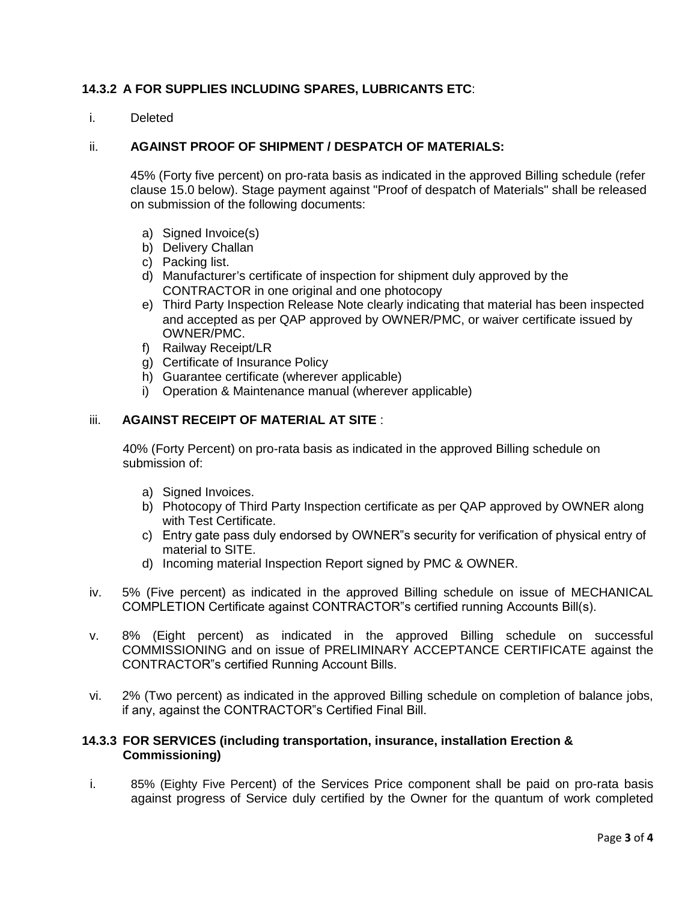## **14.3.2 A FOR SUPPLIES INCLUDING SPARES, LUBRICANTS ETC**:

i. Deleted

### ii. **AGAINST PROOF OF SHIPMENT / DESPATCH OF MATERIALS:**

45% (Forty five percent) on pro-rata basis as indicated in the approved Billing schedule (refer clause 15.0 below). Stage payment against "Proof of despatch of Materials" shall be released on submission of the following documents:

- a) Signed Invoice(s)
- b) Delivery Challan
- c) Packing list.
- d) Manufacturer's certificate of inspection for shipment duly approved by the CONTRACTOR in one original and one photocopy
- e) Third Party Inspection Release Note clearly indicating that material has been inspected and accepted as per QAP approved by OWNER/PMC, or waiver certificate issued by OWNER/PMC.
- f) Railway Receipt/LR
- g) Certificate of Insurance Policy
- h) Guarantee certificate (wherever applicable)
- i) Operation & Maintenance manual (wherever applicable)

## iii. **AGAINST RECEIPT OF MATERIAL AT SITE** :

40% (Forty Percent) on pro-rata basis as indicated in the approved Billing schedule on submission of:

- a) Signed Invoices.
- b) Photocopy of Third Party Inspection certificate as per QAP approved by OWNER along with Test Certificate.
- c) Entry gate pass duly endorsed by OWNER"s security for verification of physical entry of material to SITE.
- d) Incoming material Inspection Report signed by PMC & OWNER.
- iv. 5% (Five percent) as indicated in the approved Billing schedule on issue of MECHANICAL COMPLETION Certificate against CONTRACTOR"s certified running Accounts Bill(s).
- v. 8% (Eight percent) as indicated in the approved Billing schedule on successful COMMISSIONING and on issue of PRELIMINARY ACCEPTANCE CERTIFICATE against the CONTRACTOR"s certified Running Account Bills.
- vi. 2% (Two percent) as indicated in the approved Billing schedule on completion of balance jobs, if any, against the CONTRACTOR"s Certified Final Bill.

### **14.3.3 FOR SERVICES (including transportation, insurance, installation Erection & Commissioning)**

i. 85% (Eighty Five Percent) of the Services Price component shall be paid on pro-rata basis against progress of Service duly certified by the Owner for the quantum of work completed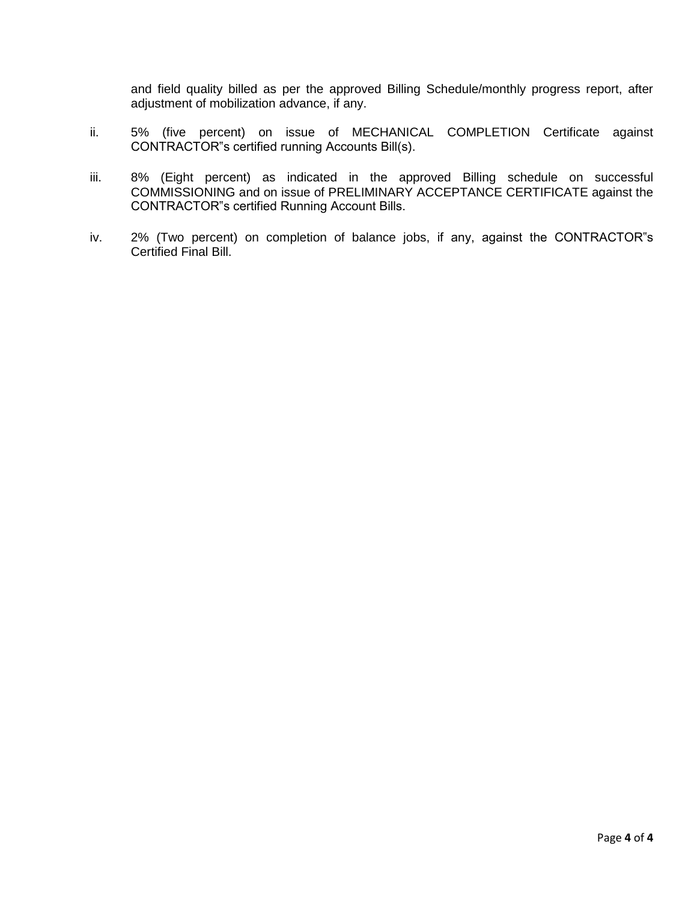and field quality billed as per the approved Billing Schedule/monthly progress report, after adjustment of mobilization advance, if any.

- ii. 5% (five percent) on issue of MECHANICAL COMPLETION Certificate against CONTRACTOR"s certified running Accounts Bill(s).
- iii. 8% (Eight percent) as indicated in the approved Billing schedule on successful COMMISSIONING and on issue of PRELIMINARY ACCEPTANCE CERTIFICATE against the CONTRACTOR"s certified Running Account Bills.
- iv. 2% (Two percent) on completion of balance jobs, if any, against the CONTRACTOR"s Certified Final Bill.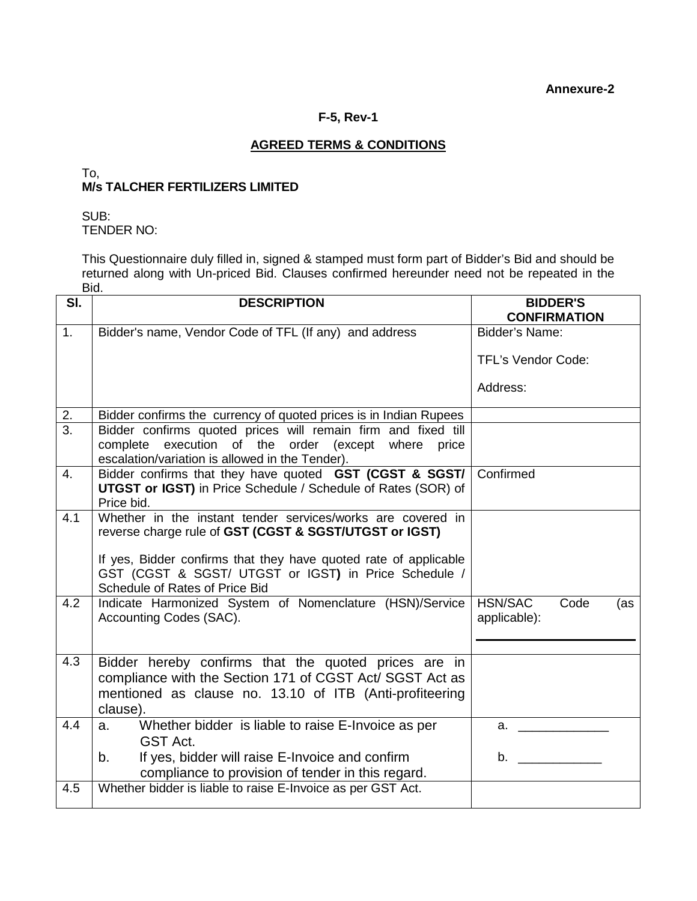# **F-5, Rev-1**

# **AGREED TERMS & CONDITIONS**

### To, **M/s TALCHER FERTILIZERS LIMITED**

SUB: TENDER NO:

This Questionnaire duly filled in, signed & stamped must form part of Bidder's Bid and should be returned along with Un-priced Bid. Clauses confirmed hereunder need not be repeated in the Bid.

| SI.              | <b>DESCRIPTION</b>                                                                                                                                                          | <b>BIDDER'S</b><br><b>CONFIRMATION</b> |
|------------------|-----------------------------------------------------------------------------------------------------------------------------------------------------------------------------|----------------------------------------|
| 1 <sub>1</sub>   | Bidder's name, Vendor Code of TFL (If any) and address                                                                                                                      | <b>Bidder's Name:</b>                  |
|                  |                                                                                                                                                                             | <b>TFL's Vendor Code:</b>              |
|                  |                                                                                                                                                                             | Address:                               |
| 2.               | Bidder confirms the currency of quoted prices is in Indian Rupees                                                                                                           |                                        |
| $\overline{3}$ . | Bidder confirms quoted prices will remain firm and fixed till                                                                                                               |                                        |
|                  | complete execution of the order (except where price<br>escalation/variation is allowed in the Tender).                                                                      |                                        |
| 4.               | Bidder confirms that they have quoted GST (CGST & SGST/<br><b>UTGST or IGST)</b> in Price Schedule / Schedule of Rates (SOR) of                                             | Confirmed                              |
|                  | Price bid.                                                                                                                                                                  |                                        |
| 4.1              | Whether in the instant tender services/works are covered in<br>reverse charge rule of GST (CGST & SGST/UTGST or IGST)                                                       |                                        |
|                  | If yes, Bidder confirms that they have quoted rate of applicable<br>GST (CGST & SGST/ UTGST or IGST) in Price Schedule /<br>Schedule of Rates of Price Bid                  |                                        |
| 4.2              | Indicate Harmonized System of Nomenclature (HSN)/Service<br>Accounting Codes (SAC).                                                                                         | HSN/SAC<br>Code<br>(as<br>applicable): |
|                  |                                                                                                                                                                             |                                        |
| 4.3              | Bidder hereby confirms that the quoted prices are in<br>compliance with the Section 171 of CGST Act/ SGST Act as<br>mentioned as clause no. 13.10 of ITB (Anti-profiteering |                                        |
|                  | clause).                                                                                                                                                                    |                                        |
| 4.4              | Whether bidder is liable to raise E-Invoice as per<br>a.<br>GST Act.                                                                                                        | $a.$ and $a.$                          |
|                  | If yes, bidder will raise E-Invoice and confirm<br>b.<br>compliance to provision of tender in this regard.                                                                  | $\mathbf b$ .                          |
| 4.5              | Whether bidder is liable to raise E-Invoice as per GST Act.                                                                                                                 |                                        |
|                  |                                                                                                                                                                             |                                        |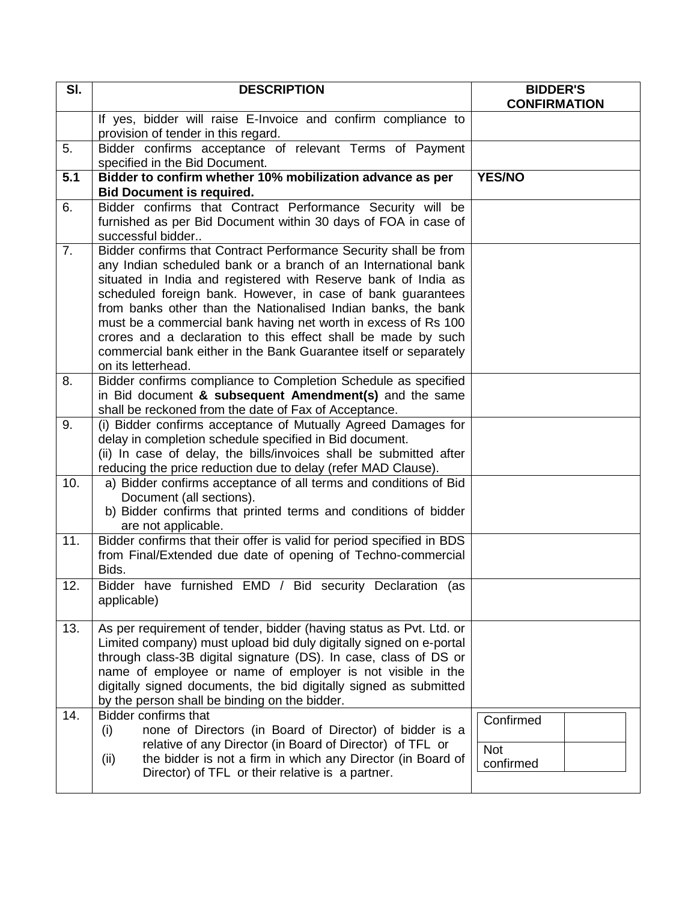| $\overline{\mathsf{SI}}$ . | <b>DESCRIPTION</b>                                                                                                                                                                                                                                                                                                                                                                                                                                                                                                                                                 | <b>BIDDER'S</b><br><b>CONFIRMATION</b> |
|----------------------------|--------------------------------------------------------------------------------------------------------------------------------------------------------------------------------------------------------------------------------------------------------------------------------------------------------------------------------------------------------------------------------------------------------------------------------------------------------------------------------------------------------------------------------------------------------------------|----------------------------------------|
|                            | If yes, bidder will raise E-Invoice and confirm compliance to<br>provision of tender in this regard.                                                                                                                                                                                                                                                                                                                                                                                                                                                               |                                        |
| 5.                         | Bidder confirms acceptance of relevant Terms of Payment<br>specified in the Bid Document.                                                                                                                                                                                                                                                                                                                                                                                                                                                                          |                                        |
| 5.1                        | Bidder to confirm whether 10% mobilization advance as per<br><b>Bid Document is required.</b>                                                                                                                                                                                                                                                                                                                                                                                                                                                                      | <b>YES/NO</b>                          |
| 6.                         | Bidder confirms that Contract Performance Security will be<br>furnished as per Bid Document within 30 days of FOA in case of<br>successful bidder                                                                                                                                                                                                                                                                                                                                                                                                                  |                                        |
| 7.                         | Bidder confirms that Contract Performance Security shall be from<br>any Indian scheduled bank or a branch of an International bank<br>situated in India and registered with Reserve bank of India as<br>scheduled foreign bank. However, in case of bank guarantees<br>from banks other than the Nationalised Indian banks, the bank<br>must be a commercial bank having net worth in excess of Rs 100<br>crores and a declaration to this effect shall be made by such<br>commercial bank either in the Bank Guarantee itself or separately<br>on its letterhead. |                                        |
| 8.                         | Bidder confirms compliance to Completion Schedule as specified<br>in Bid document & subsequent Amendment(s) and the same<br>shall be reckoned from the date of Fax of Acceptance.                                                                                                                                                                                                                                                                                                                                                                                  |                                        |
| 9.                         | (i) Bidder confirms acceptance of Mutually Agreed Damages for<br>delay in completion schedule specified in Bid document.<br>(ii) In case of delay, the bills/invoices shall be submitted after<br>reducing the price reduction due to delay (refer MAD Clause).                                                                                                                                                                                                                                                                                                    |                                        |
| 10.                        | a) Bidder confirms acceptance of all terms and conditions of Bid<br>Document (all sections).<br>b) Bidder confirms that printed terms and conditions of bidder<br>are not applicable.                                                                                                                                                                                                                                                                                                                                                                              |                                        |
| 11.                        | Bidder confirms that their offer is valid for period specified in BDS<br>from Final/Extended due date of opening of Techno-commercial<br>Bids.                                                                                                                                                                                                                                                                                                                                                                                                                     |                                        |
| 12.                        | Bidder have furnished EMD / Bid security Declaration (as<br>applicable)                                                                                                                                                                                                                                                                                                                                                                                                                                                                                            |                                        |
| 13.                        | As per requirement of tender, bidder (having status as Pvt. Ltd. or<br>Limited company) must upload bid duly digitally signed on e-portal<br>through class-3B digital signature (DS). In case, class of DS or<br>name of employee or name of employer is not visible in the<br>digitally signed documents, the bid digitally signed as submitted<br>by the person shall be binding on the bidder.                                                                                                                                                                  |                                        |
| 14.                        | <b>Bidder confirms that</b><br>none of Directors (in Board of Director) of bidder is a<br>(i)<br>relative of any Director (in Board of Director) of TFL or<br>the bidder is not a firm in which any Director (in Board of<br>(ii)<br>Director) of TFL or their relative is a partner.                                                                                                                                                                                                                                                                              | Confirmed<br><b>Not</b><br>confirmed   |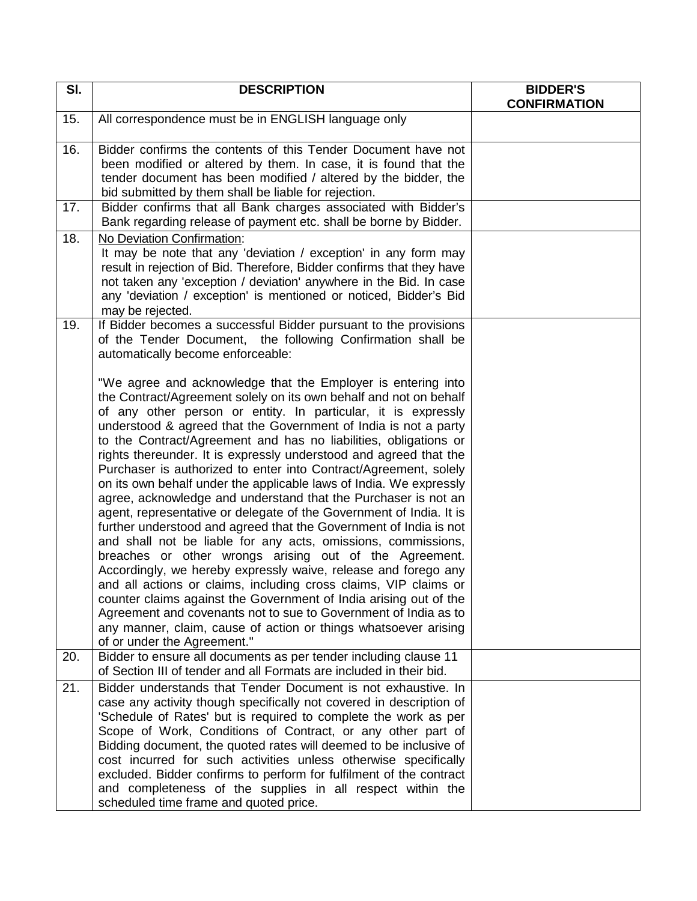| SI. | <b>DESCRIPTION</b>                                                                                                                                                                                                                                                                                                                                                                                                                                                                                                                                                                                                                                                                                                                                                                                                                                                                                                                                                                                                                                                                                                                                                                                                                                                                | <b>BIDDER'S</b><br><b>CONFIRMATION</b> |
|-----|-----------------------------------------------------------------------------------------------------------------------------------------------------------------------------------------------------------------------------------------------------------------------------------------------------------------------------------------------------------------------------------------------------------------------------------------------------------------------------------------------------------------------------------------------------------------------------------------------------------------------------------------------------------------------------------------------------------------------------------------------------------------------------------------------------------------------------------------------------------------------------------------------------------------------------------------------------------------------------------------------------------------------------------------------------------------------------------------------------------------------------------------------------------------------------------------------------------------------------------------------------------------------------------|----------------------------------------|
| 15. | All correspondence must be in ENGLISH language only                                                                                                                                                                                                                                                                                                                                                                                                                                                                                                                                                                                                                                                                                                                                                                                                                                                                                                                                                                                                                                                                                                                                                                                                                               |                                        |
| 16. | Bidder confirms the contents of this Tender Document have not<br>been modified or altered by them. In case, it is found that the<br>tender document has been modified / altered by the bidder, the<br>bid submitted by them shall be liable for rejection.                                                                                                                                                                                                                                                                                                                                                                                                                                                                                                                                                                                                                                                                                                                                                                                                                                                                                                                                                                                                                        |                                        |
| 17. | Bidder confirms that all Bank charges associated with Bidder's<br>Bank regarding release of payment etc. shall be borne by Bidder.                                                                                                                                                                                                                                                                                                                                                                                                                                                                                                                                                                                                                                                                                                                                                                                                                                                                                                                                                                                                                                                                                                                                                |                                        |
| 18. | No Deviation Confirmation:<br>It may be note that any 'deviation / exception' in any form may<br>result in rejection of Bid. Therefore, Bidder confirms that they have<br>not taken any 'exception / deviation' anywhere in the Bid. In case<br>any 'deviation / exception' is mentioned or noticed, Bidder's Bid<br>may be rejected.                                                                                                                                                                                                                                                                                                                                                                                                                                                                                                                                                                                                                                                                                                                                                                                                                                                                                                                                             |                                        |
| 19. | If Bidder becomes a successful Bidder pursuant to the provisions<br>of the Tender Document, the following Confirmation shall be<br>automatically become enforceable:                                                                                                                                                                                                                                                                                                                                                                                                                                                                                                                                                                                                                                                                                                                                                                                                                                                                                                                                                                                                                                                                                                              |                                        |
|     | "We agree and acknowledge that the Employer is entering into<br>the Contract/Agreement solely on its own behalf and not on behalf<br>of any other person or entity. In particular, it is expressly<br>understood & agreed that the Government of India is not a party<br>to the Contract/Agreement and has no liabilities, obligations or<br>rights thereunder. It is expressly understood and agreed that the<br>Purchaser is authorized to enter into Contract/Agreement, solely<br>on its own behalf under the applicable laws of India. We expressly<br>agree, acknowledge and understand that the Purchaser is not an<br>agent, representative or delegate of the Government of India. It is<br>further understood and agreed that the Government of India is not<br>and shall not be liable for any acts, omissions, commissions,<br>breaches or other wrongs arising out of the Agreement.<br>Accordingly, we hereby expressly waive, release and forego any<br>and all actions or claims, including cross claims, VIP claims or<br>counter claims against the Government of India arising out of the<br>Agreement and covenants not to sue to Government of India as to<br>any manner, claim, cause of action or things whatsoever arising<br>of or under the Agreement." |                                        |
| 20. | Bidder to ensure all documents as per tender including clause 11<br>of Section III of tender and all Formats are included in their bid.                                                                                                                                                                                                                                                                                                                                                                                                                                                                                                                                                                                                                                                                                                                                                                                                                                                                                                                                                                                                                                                                                                                                           |                                        |
| 21. | Bidder understands that Tender Document is not exhaustive. In<br>case any activity though specifically not covered in description of<br>'Schedule of Rates' but is required to complete the work as per<br>Scope of Work, Conditions of Contract, or any other part of<br>Bidding document, the quoted rates will deemed to be inclusive of<br>cost incurred for such activities unless otherwise specifically<br>excluded. Bidder confirms to perform for fulfilment of the contract<br>and completeness of the supplies in all respect within the<br>scheduled time frame and quoted price.                                                                                                                                                                                                                                                                                                                                                                                                                                                                                                                                                                                                                                                                                     |                                        |